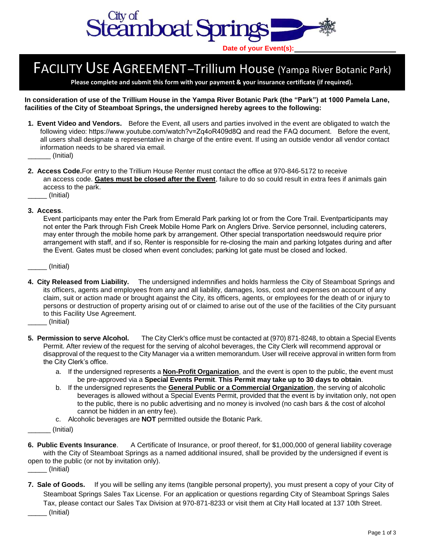

## FACILITY USE AGREEMENT–Trillium House (Yampa River Botanic Park)

**Please complete and submit this form with your payment & your insurance certificate (if required).**

**In consideration of use of the Trillium House in the Yampa River Botanic Park (the "Park") at 1000 Pamela Lane, facilities of the City of Steamboat Springs, the undersigned hereby agrees to the following:** 

- **1. Event Video and Vendors.** Before the Event, all users and parties involved in the event are obligated to watch the following video: [https://www.youtube.com/watch?v=Zq4oR409d8Q](http://www.yrbp.org/wedding.php) and read the FAQ document. Before the event, all users shall designate a representative in charge of the entire event. If using an outside vendor all vendor contact information needs to be shared via email. \_\_\_\_\_\_ (Initial)
- **2. Access Code.** For entry to the Trillium House Renter must contact the office at 970-846-5172 to receive an access code. **Gates must be closed after the Event**, failure to do so could result in extra fees if animals gain access to the park.
- \_\_\_\_\_ (Initial)
- **3. Access**.

Event participants may enter the Park from Emerald Park parking lot or from the Core Trail. Eventparticipants may not enter the Park through Fish Creek Mobile Home Park on Anglers Drive. Service personnel, including caterers, may enter through the mobile home park by arrangement. Other special transportation needswould require prior arrangement with staff, and if so, Renter is responsible for re-closing the main and parking lotgates during and after the Event. Gates must be closed when event concludes; parking lot gate must be closed and locked.

\_\_\_\_\_ (Initial)

- **4. City Released from Liability.** The undersigned indemnifies and holds harmless the City of Steamboat Springs and its officers, agents and employees from any and all liability, damages, loss, cost and expenses on account of any claim, suit or action made or brought against the City, its officers, agents, or employees for the death of or injury to persons or destruction of property arising out of or claimed to arise out of the use of the facilities of the City pursuant to this Facility Use Agreement.
	- \_\_\_\_\_ (Initial)
- **5. Permission to serve Alcohol.** The City Clerk's office must be contacted at (970) 871-8248, to obtain a Special Events Permit. After review of the request for the serving of alcohol beverages, the City Clerk will recommend approval or disapproval of the request to the City Manager via a written memorandum. User will receive approval in written form from the City Clerk's office.
	- a. If the undersigned represents a **Non-Profit Organization**, and the event is open to the public, the event must be pre-approved via a **Special Events Permit**. **This Permit may take up to 30 days to obtain**.
	- b. If the undersigned represents the **General Public or a Commercial Organization**, the serving of alcoholic beverages is allowed without a Special Events Permit, provided that the event is by invitation only, not open to the public, there is no public advertising and no money is involved (no cash bars & the cost of alcohol cannot be hidden in an entry fee).
	- c. Alcoholic beverages are **NOT** permitted outside the Botanic Park.
- \_\_\_\_\_\_ (Initial)

**6. Public Events Insurance**. A Certificate of Insurance, or proof thereof, for \$1,000,000 of general liability coverage with the City of Steamboat Springs as a named additional insured, shall be provided by the undersigned if event is open to the public (or not by invitation only).

- $\Box$  (Initial)
- **7. Sale of Goods.** If you will be selling any items (tangible personal property), you must present a copy of your City of Steamboat Springs Sales Tax License. For an application or questions regarding City of Steamboat Springs Sales Tax, please contact our Sales Tax Division at 970-871-8233 or visit them at City Hall located at 137 10th Street. \_\_\_\_\_ (Initial)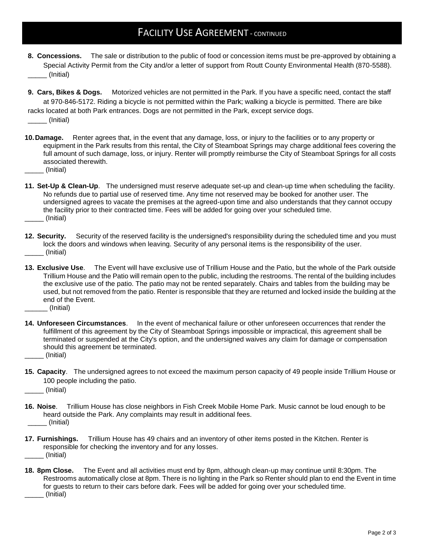## FACILITY USE AGREEMENT - CONTINUED

- **8. Concessions.** The sale or distribution to the public of food or concession items must be pre-approved by obtaining a Special Activity Permit from the City and/or a letter of support from Routt County Environmental Health (870-5588). \_\_\_\_\_ (Initial)
- **9. Cars, Bikes & Dogs.** Motorized vehicles are not permitted in the Park. If you have a specific need, contact the staff at 970-846-5172. Riding a bicycle is not permitted within the Park; walking a bicycle is permitted. There are bike racks located at both Park entrances. Dogs are not permitted in the Park, except service dogs. \_\_\_\_\_ (Initial)
- **10.Damage.** Renter agrees that, in the event that any damage, loss, or injury to the facilities or to any property or equipment in the Park results from this rental, the City of Steamboat Springs may charge additional fees covering the full amount of such damage, loss, or injury. Renter will promptly reimburse the City of Steamboat Springs for all costs associated therewith.
- \_\_\_\_\_ (Initial)
- **11. Set-Up & Clean-Up**. The undersigned must reserve adequate set-up and clean-up time when scheduling the facility. No refunds due to partial use of reserved time. Any time not reserved may be booked for another user. The undersigned agrees to vacate the premises at the agreed-upon time and also understands that they cannot occupy the facility prior to their contracted time. Fees will be added for going over your scheduled time. \_\_\_\_\_ (Initial)
- **12. Security.** Security of the reserved facility is the undersigned's responsibility during the scheduled time and you must lock the doors and windows when leaving. Security of any personal items is the responsibility of the user. \_\_\_\_\_ (Initial)
- **13. Exclusive Use**. The Event will have exclusive use of Trillium House and the Patio, but the whole of the Park outside Trillium House and the Patio will remain open to the public, including the restrooms. The rental of the building includes the exclusive use of the patio. The patio may not be rented separately. Chairs and tables from the building may be used, but not removed from the patio. Renter is responsible that they are returned and locked inside the building at the end of the Event.
- \_\_\_\_\_\_ (Initial)
- **14. Unforeseen Circumstances**. In the event of mechanical failure or other unforeseen occurrences that render the fulfillment of this agreement by the City of Steamboat Springs impossible or impractical, this agreement shall be terminated or suspended at the City's option, and the undersigned waives any claim for damage or compensation should this agreement be terminated.
- \_\_\_\_\_ (Initial)
- **15. Capacity**. The undersigned agrees to not exceed the maximum person capacity of 49 people inside Trillium House or 100 people including the patio.
- \_\_\_\_\_ (Initial)
- **16. Noise**. Trillium House has close neighbors in Fish Creek Mobile Home Park. Music cannot be loud enough to be heard outside the Park. Any complaints may result in additional fees. \_\_\_\_\_ (Initial)
- **17. Furnishings.** Trillium House has 49 chairs and an inventory of other items posted in the Kitchen. Renter is responsible for checking the inventory and for any losses. \_\_\_\_\_ (Initial)
- **18. 8pm Close.** The Event and all activities must end by 8pm, although clean-up may continue until 8:30pm. The Restrooms automatically close at 8pm. There is no lighting in the Park so Renter should plan to end the Event in time for guests to return to their cars before dark. Fees will be added for going over your scheduled time. \_\_\_\_\_ (Initial)